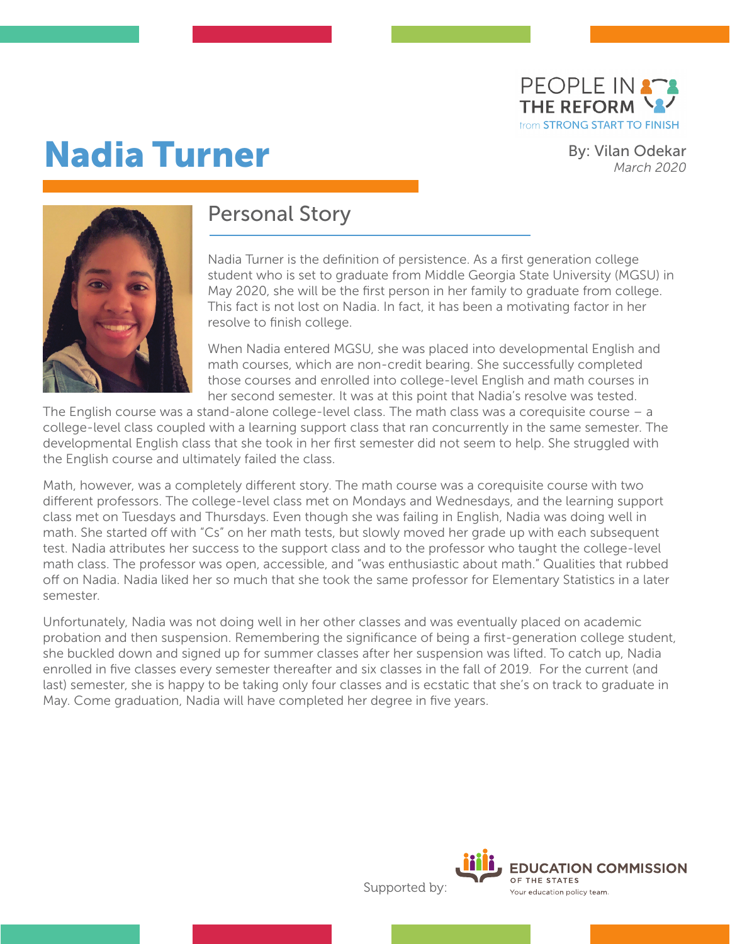

# **Nadia Turner** By: Vilan Odekar *By: Vilan Odekar*



### Personal Story

Nadia Turner is the definition of persistence. As a first generation college student who is set to graduate from Middle Georgia State University (MGSU) in May 2020, she will be the first person in her family to graduate from college. This fact is not lost on Nadia. In fact, it has been a motivating factor in her resolve to finish college.

When Nadia entered MGSU, she was placed into developmental English and math courses, which are non-credit bearing. She successfully completed those courses and enrolled into college-level English and math courses in her second semester. It was at this point that Nadia's resolve was tested.

The English course was a stand-alone college-level class. The math class was a corequisite course – a college-level class coupled with a learning support class that ran concurrently in the same semester. The developmental English class that she took in her first semester did not seem to help. She struggled with the English course and ultimately failed the class.

Math, however, was a completely different story. The math course was a corequisite course with two different professors. The college-level class met on Mondays and Wednesdays, and the learning support class met on Tuesdays and Thursdays. Even though she was failing in English, Nadia was doing well in math. She started off with "Cs" on her math tests, but slowly moved her grade up with each subsequent test. Nadia attributes her success to the support class and to the professor who taught the college-level math class. The professor was open, accessible, and "was enthusiastic about math." Qualities that rubbed off on Nadia. Nadia liked her so much that she took the same professor for Elementary Statistics in a later semester.

Unfortunately, Nadia was not doing well in her other classes and was eventually placed on academic probation and then suspension. Remembering the significance of being a first-generation college student, she buckled down and signed up for summer classes after her suspension was lifted. To catch up, Nadia enrolled in five classes every semester thereafter and six classes in the fall of 2019. For the current (and last) semester, she is happy to be taking only four classes and is ecstatic that she's on track to graduate in May. Come graduation, Nadia will have completed her degree in five years.